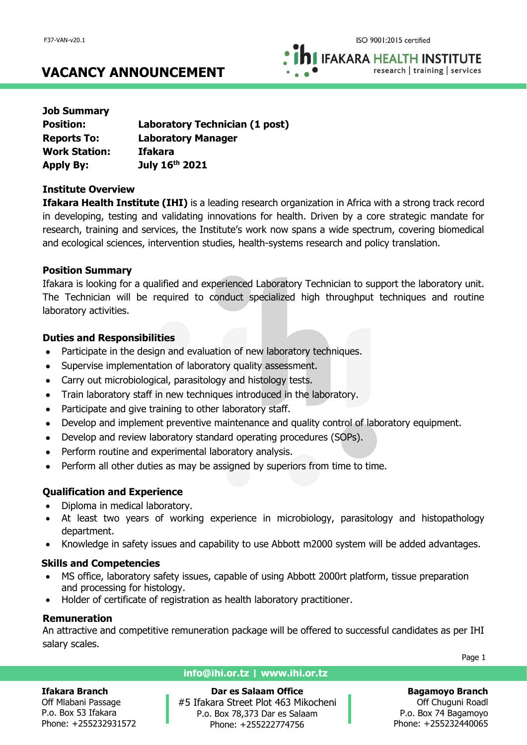**IFAKARA HEALTH INSTITUTE** research | training | services

# **VACANCY ANNOUNCEMENT**

| <b>Job Summary</b>   |                                |
|----------------------|--------------------------------|
| <b>Position:</b>     | Laboratory Technician (1 post) |
| <b>Reports To:</b>   | <b>Laboratory Manager</b>      |
| <b>Work Station:</b> | <b>Ifakara</b>                 |
| <b>Apply By:</b>     | July 16th 2021                 |

### **Institute Overview**

**Ifakara Health Institute (IHI)** is a leading research organization in Africa with a strong track record in developing, testing and validating innovations for health. Driven by a core strategic mandate for research, training and services, the Institute's work now spans a wide spectrum, covering biomedical and ecological sciences, intervention studies, health-systems research and policy translation.

### **Position Summary**

Ifakara is looking for a qualified and experienced Laboratory Technician to support the laboratory unit. The Technician will be required to conduct specialized high throughput techniques and routine laboratory activities.

### **Duties and Responsibilities**

- Participate in the design and evaluation of new laboratory techniques.
- Supervise implementation of laboratory quality assessment.
- Carry out microbiological, parasitology and histology tests.
- Train laboratory staff in new techniques introduced in the laboratory.
- Participate and give training to other laboratory staff.
- Develop and implement preventive maintenance and quality control of laboratory equipment.
- Develop and review laboratory standard operating procedures (SOPs).
- Perform routine and experimental laboratory analysis.
- Perform all other duties as may be assigned by superiors from time to time.

# **Qualification and Experience**

- Diploma in medical laboratory.
- At least two vears of working experience in microbiology, parasitology and histopathology department.
- Knowledge in safety issues and capability to use Abbott m2000 system will be added advantages.

### **Skills and Competencies**

- MS office, laboratory safety issues, capable of using Abbott 2000rt platform, tissue preparation and processing for histology.
- Holder of certificate of registration as health laboratory practitioner.

# **Remuneration**

An attractive and competitive remuneration package will be offered to successful candidates as per IHI salary scales.

Page 1

#### **Ifakara Branch**

Off Mlabani Passage P.o. Box 53 Ifakara Phone: +255232931572

### **info@ihi.or.tz | www.ihi.or.tz**

**Dar es Salaam Office** #5 Ifakara Street Plot 463 Mikocheni P.o. Box 78,373 Dar es Salaam Phone: +255222774756

**Bagamoyo Branch** Off Chuguni Roadl P.o. Box 74 Bagamoyo

Phone: +255232440065